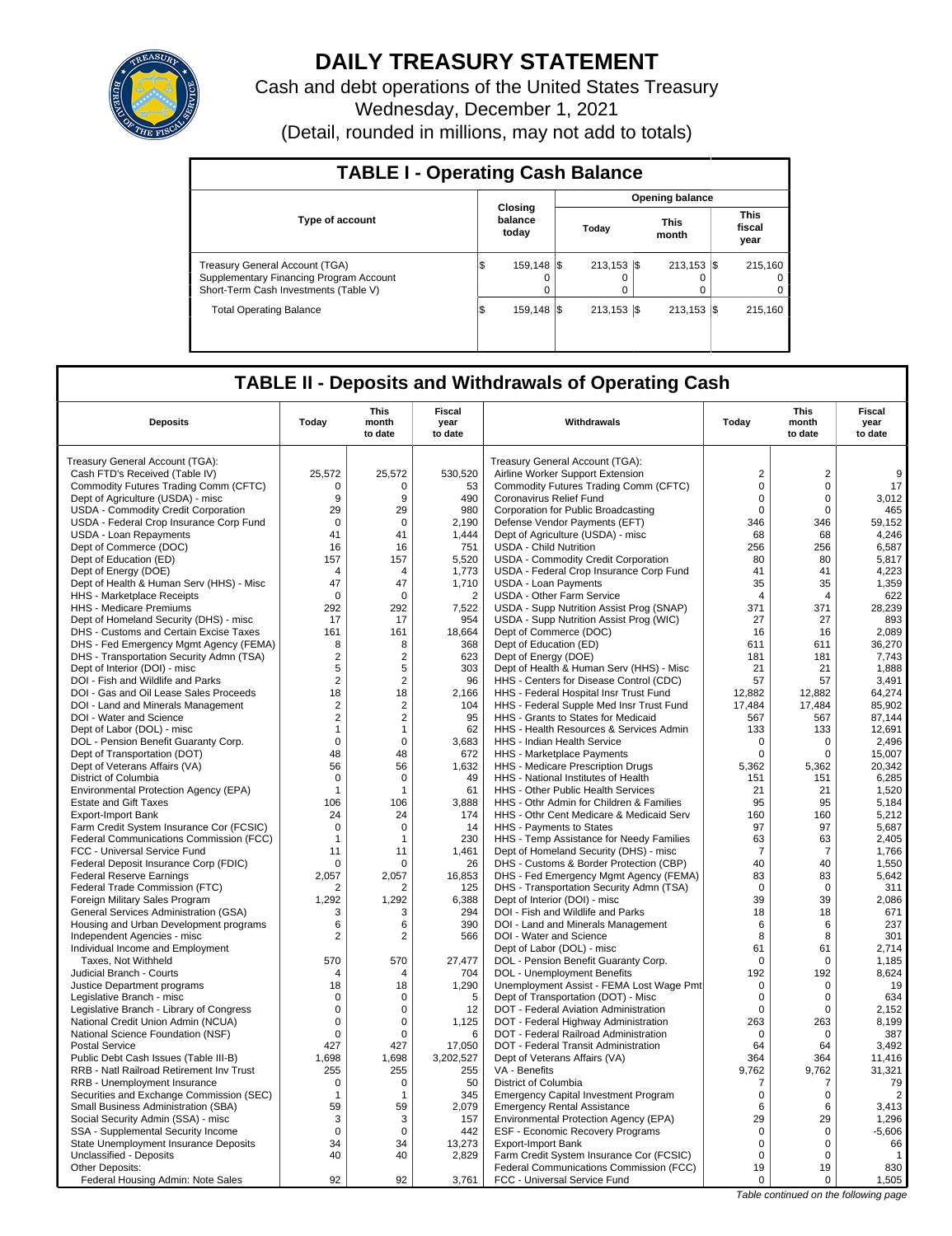

## **DAILY TREASURY STATEMENT**

Cash and debt operations of the United States Treasury Wednesday, December 1, 2021 (Detail, rounded in millions, may not add to totals)

| <b>TABLE I - Operating Cash Balance</b>                                                                                   |     |                             |  |                  |  |                           |  |                               |  |
|---------------------------------------------------------------------------------------------------------------------------|-----|-----------------------------|--|------------------|--|---------------------------|--|-------------------------------|--|
|                                                                                                                           |     |                             |  |                  |  | <b>Opening balance</b>    |  |                               |  |
| <b>Type of account</b>                                                                                                    |     | Closing<br>balance<br>today |  | Today            |  | <b>This</b><br>month      |  | <b>This</b><br>fiscal<br>year |  |
| <b>Treasury General Account (TGA)</b><br>Supplementary Financing Program Account<br>Short-Term Cash Investments (Table V) | 1\$ | 159.148   \$<br>$\Omega$    |  | 213.153 \\$<br>0 |  | $213.153$ $\sqrt{5}$<br>0 |  | 215.160<br>$\Omega$<br>0      |  |
| <b>Total Operating Balance</b>                                                                                            | 1\$ | 159,148 \$                  |  | $213.153$ S      |  | $213.153$ $\sqrt{5}$      |  | 215.160                       |  |

## **TABLE II - Deposits and Withdrawals of Operating Cash**

| <b>Deposits</b>                          | Today          | This<br>month<br>to date | Fiscal<br>year<br>to date | Withdrawals                                 | Today          | This<br>month<br>to date | Fiscal<br>year<br>to date             |  |
|------------------------------------------|----------------|--------------------------|---------------------------|---------------------------------------------|----------------|--------------------------|---------------------------------------|--|
| Treasury General Account (TGA):          |                |                          |                           | Treasury General Account (TGA):             |                |                          |                                       |  |
| Cash FTD's Received (Table IV)           | 25,572         | 25,572                   | 530,520                   | Airline Worker Support Extension            | $\overline{2}$ | $\overline{2}$           | 9                                     |  |
| Commodity Futures Trading Comm (CFTC)    | $\Omega$       | $\Omega$                 | 53                        | Commodity Futures Trading Comm (CFTC)       | $\mathbf 0$    | $\Omega$                 | 17                                    |  |
| Dept of Agriculture (USDA) - misc        | 9              | 9                        | 490                       | Coronavirus Relief Fund                     | $\mathsf 0$    | $\mathbf 0$              | 3,012                                 |  |
| USDA - Commodity Credit Corporation      | 29             | 29                       | 980                       | Corporation for Public Broadcasting         | $\mathbf 0$    | $\Omega$                 | 465                                   |  |
| USDA - Federal Crop Insurance Corp Fund  | $\mathbf 0$    | $\mathbf 0$              | 2,190                     | Defense Vendor Payments (EFT)               | 346            | 346                      | 59,152                                |  |
| USDA - Loan Repayments                   | 41             | 41                       | 1,444                     | Dept of Agriculture (USDA) - misc           | 68             | 68                       | 4,246                                 |  |
| Dept of Commerce (DOC)                   | 16             | 16                       | 751                       | <b>USDA - Child Nutrition</b>               | 256            | 256                      | 6.587                                 |  |
| Dept of Education (ED)                   | 157            | 157                      | 5,520                     | USDA - Commodity Credit Corporation         | 80             | 80                       | 5,817                                 |  |
| Dept of Energy (DOE)                     | $\overline{4}$ | 4                        | 1,773                     | USDA - Federal Crop Insurance Corp Fund     | 41             | 41                       | 4,223                                 |  |
| Dept of Health & Human Serv (HHS) - Misc | 47             | 47                       | 1,710                     | <b>USDA - Loan Payments</b>                 | 35             | 35                       | 1,359                                 |  |
| HHS - Marketplace Receipts               | $\Omega$       | $\Omega$                 | $\overline{2}$            | <b>USDA - Other Farm Service</b>            | $\overline{4}$ | $\overline{4}$           | 622                                   |  |
| HHS - Medicare Premiums                  | 292            | 292                      | 7,522                     | USDA - Supp Nutrition Assist Prog (SNAP)    | 371            | 371                      | 28,239                                |  |
| Dept of Homeland Security (DHS) - misc   | 17             | 17                       | 954                       | USDA - Supp Nutrition Assist Prog (WIC)     | 27             | 27                       | 893                                   |  |
| DHS - Customs and Certain Excise Taxes   | 161            | 161                      | 18,664                    | Dept of Commerce (DOC)                      | 16             | 16                       | 2,089                                 |  |
| DHS - Fed Emergency Mgmt Agency (FEMA)   | 8              | 8                        | 368                       | Dept of Education (ED)                      | 611            | 611                      | 36,270                                |  |
| DHS - Transportation Security Admn (TSA) | $\overline{2}$ | $\overline{2}$           | 623                       | Dept of Energy (DOE)                        | 181            | 181                      | 7,743                                 |  |
| Dept of Interior (DOI) - misc            | 5              | 5                        | 303                       | Dept of Health & Human Serv (HHS) - Misc    | 21             | 21                       | 1.888                                 |  |
| DOI - Fish and Wildlife and Parks        | $\overline{2}$ | $\overline{2}$           | 96                        | HHS - Centers for Disease Control (CDC)     | 57             | 57                       | 3,491                                 |  |
| DOI - Gas and Oil Lease Sales Proceeds   | 18             | 18                       | 2,166                     | HHS - Federal Hospital Insr Trust Fund      | 12,882         | 12,882                   | 64,274                                |  |
| DOI - Land and Minerals Management       | $\overline{2}$ | $\overline{2}$           | 104                       | HHS - Federal Supple Med Insr Trust Fund    | 17.484         | 17.484                   | 85.902                                |  |
| DOI - Water and Science                  | $\overline{2}$ | $\overline{2}$           | 95                        | HHS - Grants to States for Medicaid         | 567            | 567                      | 87,144                                |  |
| Dept of Labor (DOL) - misc               | $\mathbf{1}$   | 1                        | 62                        | HHS - Health Resources & Services Admin     | 133            | 133                      | 12,691                                |  |
| DOL - Pension Benefit Guaranty Corp.     | $\mathbf 0$    | $\mathbf 0$              | 3,683                     | HHS - Indian Health Service                 | 0              | $\mathbf 0$              | 2,496                                 |  |
| Dept of Transportation (DOT)             | 48             | 48                       | 672                       | HHS - Marketplace Payments                  | $\mathbf 0$    | $\mathbf 0$              | 15,007                                |  |
| Dept of Veterans Affairs (VA)            | 56             | 56                       | 1,632                     | HHS - Medicare Prescription Drugs           | 5,362          | 5,362                    | 20,342                                |  |
| District of Columbia                     | $\mathbf 0$    | $\mathbf 0$              | 49                        | HHS - National Institutes of Health         | 151            | 151                      | 6,285                                 |  |
| Environmental Protection Agency (EPA)    | $\mathbf{1}$   | 1                        | 61                        | HHS - Other Public Health Services          | 21             | 21                       | 1,520                                 |  |
| <b>Estate and Gift Taxes</b>             | 106            | 106                      | 3.888                     | HHS - Othr Admin for Children & Families    | 95             | 95                       | 5.184                                 |  |
| <b>Export-Import Bank</b>                | 24             | 24                       | 174                       | HHS - Othr Cent Medicare & Medicaid Serv    | 160            | 160                      | 5,212                                 |  |
| Farm Credit System Insurance Cor (FCSIC) | 0              | $\mathbf 0$              | 14                        | HHS - Payments to States                    | 97             | 97                       | 5.687                                 |  |
| Federal Communications Commission (FCC)  | $\mathbf{1}$   | 1                        | 230                       | HHS - Temp Assistance for Needy Families    | 63             | 63                       | 2,405                                 |  |
| FCC - Universal Service Fund             | 11             | 11                       | 1,461                     | Dept of Homeland Security (DHS) - misc      | $\overline{7}$ | $\overline{7}$           | 1,766                                 |  |
| Federal Deposit Insurance Corp (FDIC)    | 0              | $\Omega$                 | 26                        | DHS - Customs & Border Protection (CBP)     | 40             | 40                       | 1,550                                 |  |
| <b>Federal Reserve Earnings</b>          | 2.057          | 2.057                    | 16.853                    | DHS - Fed Emergency Mgmt Agency (FEMA)      | 83             | 83                       | 5,642                                 |  |
| Federal Trade Commission (FTC)           | 2              | 2                        | 125                       | DHS - Transportation Security Admn (TSA)    | 0              | $\mathbf 0$              | 311                                   |  |
| Foreign Military Sales Program           | 1,292          | 1,292                    | 6,388                     | Dept of Interior (DOI) - misc               | 39             | 39                       | 2,086                                 |  |
| General Services Administration (GSA)    | 3              | 3                        | 294                       | DOI - Fish and Wildlife and Parks           | 18             | 18                       | 671                                   |  |
| Housing and Urban Development programs   | 6              | 6                        | 390                       | DOI - Land and Minerals Management          | 6              | 6                        | 237                                   |  |
| Independent Agencies - misc              | $\overline{2}$ | $\overline{2}$           | 566                       | DOI - Water and Science                     | 8              | 8                        | 301                                   |  |
| Individual Income and Employment         |                |                          |                           | Dept of Labor (DOL) - misc                  | 61             | 61                       | 2.714                                 |  |
| Taxes, Not Withheld                      | 570            | 570                      | 27,477                    | DOL - Pension Benefit Guaranty Corp.        | $\mathbf 0$    | $\mathbf 0$              | 1,185                                 |  |
| Judicial Branch - Courts                 | $\overline{4}$ | 4                        | 704                       | DOL - Unemployment Benefits                 | 192            | 192                      | 8,624                                 |  |
| Justice Department programs              | 18             | 18                       | 1,290                     | Unemployment Assist - FEMA Lost Wage Pmt    | $\mathbf 0$    | $\mathbf 0$              | 19                                    |  |
| Legislative Branch - misc                | $\Omega$       | $\Omega$                 | 5                         | Dept of Transportation (DOT) - Misc         | $\Omega$       | $\Omega$                 | 634                                   |  |
| Legislative Branch - Library of Congress | $\mathbf 0$    | 0                        | 12                        | DOT - Federal Aviation Administration       | $\mathbf 0$    | $\mathbf 0$              | 2,152                                 |  |
| National Credit Union Admin (NCUA)       | $\mathsf 0$    | 0                        | 1,125                     | DOT - Federal Highway Administration        | 263            | 263                      | 8,199                                 |  |
| National Science Foundation (NSF)        | 0              | $\Omega$                 | 6                         | DOT - Federal Railroad Administration       | 0              | 0                        | 387                                   |  |
| <b>Postal Service</b>                    | 427            | 427                      | 17,050                    | DOT - Federal Transit Administration        | 64             | 64                       | 3,492                                 |  |
| Public Debt Cash Issues (Table III-B)    | 1,698          | 1,698                    | 3,202,527                 | Dept of Veterans Affairs (VA)               | 364            | 364                      | 11,416                                |  |
| RRB - Natl Railroad Retirement Inv Trust | 255            | 255                      | 255                       | VA - Benefits                               | 9,762          | 9,762                    | 31,321                                |  |
| RRB - Unemployment Insurance             | $\mathbf 0$    | $\mathbf 0$              | 50                        | District of Columbia                        | $\overline{7}$ | $\overline{7}$           | 79                                    |  |
| Securities and Exchange Commission (SEC) | -1             | 1                        | 345                       | <b>Emergency Capital Investment Program</b> | $\mathsf 0$    | $\mathbf 0$              | $\overline{2}$                        |  |
| Small Business Administration (SBA)      | 59             | 59                       | 2,079                     | <b>Emergency Rental Assistance</b>          | 6              | 6                        | 3,413                                 |  |
| Social Security Admin (SSA) - misc       | 3              | 3                        | 157                       | Environmental Protection Agency (EPA)       | 29             | 29                       | 1,296                                 |  |
| SSA - Supplemental Security Income       | $\mathbf 0$    | $\mathbf 0$              | 442                       | <b>ESF - Economic Recovery Programs</b>     | $\mathbf 0$    | $\mathbf 0$              | $-5,606$                              |  |
| State Unemployment Insurance Deposits    | 34             | 34                       | 13,273                    | <b>Export-Import Bank</b>                   | $\mathsf 0$    | $\pmb{0}$                | 66                                    |  |
| Unclassified - Deposits                  | 40             | 40                       | 2,829                     | Farm Credit System Insurance Cor (FCSIC)    | $\Omega$       | $\Omega$                 | $\mathbf{1}$                          |  |
| Other Deposits:                          |                |                          |                           | Federal Communications Commission (FCC)     | 19             | 19                       | 830                                   |  |
| Federal Housing Admin: Note Sales        | 92             | 92                       | 3,761                     | FCC - Universal Service Fund                | 0              | 0                        | 1,505                                 |  |
|                                          |                |                          |                           |                                             |                |                          | Table continued on the following page |  |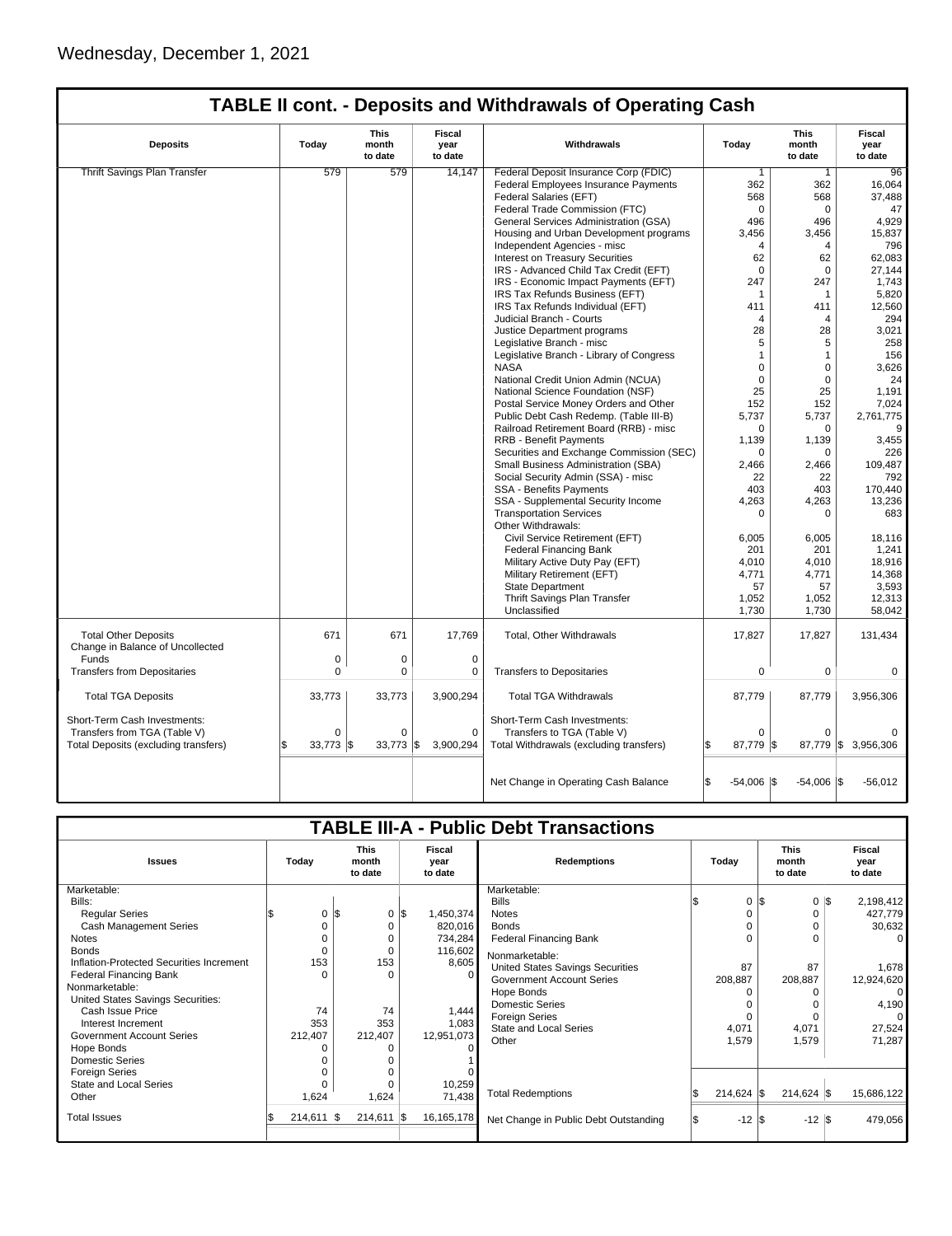| <b>This</b><br>Fiscal<br><b>This</b><br><b>Fiscal</b><br>Today<br>Withdrawals<br>Today<br><b>Deposits</b><br>month<br>year<br>month<br>year<br>to date<br>to date<br>to date<br>to date<br><b>Thrift Savings Plan Transfer</b><br>579<br>579<br>14,147<br>Federal Deposit Insurance Corp (FDIC)<br>96<br>$\mathbf{1}$<br>$\mathbf{1}$<br>Federal Employees Insurance Payments<br>362<br>362<br>16,064<br>Federal Salaries (EFT)<br>568<br>568<br>37.488<br>Federal Trade Commission (FTC)<br>$\mathbf 0$<br>$\mathbf 0$<br>47<br>496<br>496<br>4,929<br>General Services Administration (GSA)<br>15,837<br>Housing and Urban Development programs<br>3,456<br>3,456<br>Independent Agencies - misc<br>796<br>4<br>4<br><b>Interest on Treasury Securities</b><br>62<br>62<br>62,083<br>IRS - Advanced Child Tax Credit (EFT)<br>$\mathbf 0$<br>0<br>27,144<br>IRS - Economic Impact Payments (EFT)<br>247<br>247<br>1,743<br>IRS Tax Refunds Business (EFT)<br>5,820<br>$\mathbf{1}$<br>1<br>IRS Tax Refunds Individual (EFT)<br>12,560<br>411<br>411<br>Judicial Branch - Courts<br>294<br>$\overline{4}$<br>4<br>28<br>28<br>3,021<br>Justice Department programs<br>258<br>Legislative Branch - misc<br>5<br>5<br>Legislative Branch - Library of Congress<br>$\mathbf{1}$<br>156<br>$\mathbf{1}$<br><b>NASA</b><br>$\mathbf 0$<br>$\mathbf 0$<br>3.626<br>$\Omega$<br>$\Omega$<br>National Credit Union Admin (NCUA)<br>24<br>National Science Foundation (NSF)<br>25<br>25<br>1,191<br>7,024<br>Postal Service Money Orders and Other<br>152<br>152<br>Public Debt Cash Redemp. (Table III-B)<br>5,737<br>5,737<br>2,761,775<br>Railroad Retirement Board (RRB) - misc<br>$\mathbf 0$<br>$\Omega$<br>9<br><b>RRB - Benefit Payments</b><br>1,139<br>1,139<br>3,455<br>Securities and Exchange Commission (SEC)<br>226<br>0<br>$\Omega$<br>Small Business Administration (SBA)<br>2,466<br>2,466<br>109,487<br>Social Security Admin (SSA) - misc<br>792<br>22<br>22<br>SSA - Benefits Payments<br>403<br>403<br>170,440<br>SSA - Supplemental Security Income<br>4,263<br>4,263<br>13,236<br><b>Transportation Services</b><br>683<br>0<br>0<br>Other Withdrawals:<br>Civil Service Retirement (EFT)<br>6,005<br>6,005<br>18,116<br><b>Federal Financing Bank</b><br>1,241<br>201<br>201<br>18,916<br>Military Active Duty Pay (EFT)<br>4,010<br>4,010<br>Military Retirement (EFT)<br>4,771<br>14,368<br>4,771<br><b>State Department</b><br>3,593<br>57<br>57<br>Thrift Savings Plan Transfer<br>1,052<br>1,052<br>12,313<br>Unclassified<br>1,730<br>1,730<br>58.042<br><b>Total Other Deposits</b><br>671<br>671<br>17,769<br>Total, Other Withdrawals<br>17,827<br>17,827<br>131,434<br>Change in Balance of Uncollected<br>Funds<br>$\mathbf 0$<br>0<br>0<br><b>Transfers from Depositaries</b><br>$\mathbf 0$<br>0<br>0<br><b>Transfers to Depositaries</b><br>$\mathbf 0$<br>0<br>$\Omega$<br>3,900,294<br><b>Total TGA Deposits</b><br>33,773<br>33,773<br><b>Total TGA Withdrawals</b><br>87,779<br>87,779<br>3,956,306<br>Short-Term Cash Investments:<br>Short-Term Cash Investments:<br>Transfers from TGA (Table V)<br>$\Omega$<br>$\Omega$<br>$\Omega$<br>Transfers to TGA (Table V)<br>$\Omega$<br>$\Omega$<br>$33,773$ \$<br>$33,773$ \$<br>3,900,294<br>Total Withdrawals (excluding transfers)<br>87,779 \$<br>87,779 \$ 3,956,306<br>Total Deposits (excluding transfers)<br>S<br>ß.<br>Net Change in Operating Cash Balance<br>\$.<br>$-54,006$ \\$<br>$-54,006$ \\$<br>$-56,012$ | <b>TABLE II cont. - Deposits and Withdrawals of Operating Cash</b> |  |  |  |  |  |  |  |  |  |  |  |
|-------------------------------------------------------------------------------------------------------------------------------------------------------------------------------------------------------------------------------------------------------------------------------------------------------------------------------------------------------------------------------------------------------------------------------------------------------------------------------------------------------------------------------------------------------------------------------------------------------------------------------------------------------------------------------------------------------------------------------------------------------------------------------------------------------------------------------------------------------------------------------------------------------------------------------------------------------------------------------------------------------------------------------------------------------------------------------------------------------------------------------------------------------------------------------------------------------------------------------------------------------------------------------------------------------------------------------------------------------------------------------------------------------------------------------------------------------------------------------------------------------------------------------------------------------------------------------------------------------------------------------------------------------------------------------------------------------------------------------------------------------------------------------------------------------------------------------------------------------------------------------------------------------------------------------------------------------------------------------------------------------------------------------------------------------------------------------------------------------------------------------------------------------------------------------------------------------------------------------------------------------------------------------------------------------------------------------------------------------------------------------------------------------------------------------------------------------------------------------------------------------------------------------------------------------------------------------------------------------------------------------------------------------------------------------------------------------------------------------------------------------------------------------------------------------------------------------------------------------------------------------------------------------------------------------------------------------------------------------------------------------------------------------------------------------------------------------------------------------------------------------------------------------------------------------------------------------------------------------------------------------------------------------------------------------------------------------------------------------------------------------------------------------------------------------------------------------------------------------------------------------------|--------------------------------------------------------------------|--|--|--|--|--|--|--|--|--|--|--|
|                                                                                                                                                                                                                                                                                                                                                                                                                                                                                                                                                                                                                                                                                                                                                                                                                                                                                                                                                                                                                                                                                                                                                                                                                                                                                                                                                                                                                                                                                                                                                                                                                                                                                                                                                                                                                                                                                                                                                                                                                                                                                                                                                                                                                                                                                                                                                                                                                                                                                                                                                                                                                                                                                                                                                                                                                                                                                                                                                                                                                                                                                                                                                                                                                                                                                                                                                                                                                                                                                                             |                                                                    |  |  |  |  |  |  |  |  |  |  |  |
|                                                                                                                                                                                                                                                                                                                                                                                                                                                                                                                                                                                                                                                                                                                                                                                                                                                                                                                                                                                                                                                                                                                                                                                                                                                                                                                                                                                                                                                                                                                                                                                                                                                                                                                                                                                                                                                                                                                                                                                                                                                                                                                                                                                                                                                                                                                                                                                                                                                                                                                                                                                                                                                                                                                                                                                                                                                                                                                                                                                                                                                                                                                                                                                                                                                                                                                                                                                                                                                                                                             |                                                                    |  |  |  |  |  |  |  |  |  |  |  |
|                                                                                                                                                                                                                                                                                                                                                                                                                                                                                                                                                                                                                                                                                                                                                                                                                                                                                                                                                                                                                                                                                                                                                                                                                                                                                                                                                                                                                                                                                                                                                                                                                                                                                                                                                                                                                                                                                                                                                                                                                                                                                                                                                                                                                                                                                                                                                                                                                                                                                                                                                                                                                                                                                                                                                                                                                                                                                                                                                                                                                                                                                                                                                                                                                                                                                                                                                                                                                                                                                                             |                                                                    |  |  |  |  |  |  |  |  |  |  |  |
|                                                                                                                                                                                                                                                                                                                                                                                                                                                                                                                                                                                                                                                                                                                                                                                                                                                                                                                                                                                                                                                                                                                                                                                                                                                                                                                                                                                                                                                                                                                                                                                                                                                                                                                                                                                                                                                                                                                                                                                                                                                                                                                                                                                                                                                                                                                                                                                                                                                                                                                                                                                                                                                                                                                                                                                                                                                                                                                                                                                                                                                                                                                                                                                                                                                                                                                                                                                                                                                                                                             |                                                                    |  |  |  |  |  |  |  |  |  |  |  |
|                                                                                                                                                                                                                                                                                                                                                                                                                                                                                                                                                                                                                                                                                                                                                                                                                                                                                                                                                                                                                                                                                                                                                                                                                                                                                                                                                                                                                                                                                                                                                                                                                                                                                                                                                                                                                                                                                                                                                                                                                                                                                                                                                                                                                                                                                                                                                                                                                                                                                                                                                                                                                                                                                                                                                                                                                                                                                                                                                                                                                                                                                                                                                                                                                                                                                                                                                                                                                                                                                                             |                                                                    |  |  |  |  |  |  |  |  |  |  |  |
|                                                                                                                                                                                                                                                                                                                                                                                                                                                                                                                                                                                                                                                                                                                                                                                                                                                                                                                                                                                                                                                                                                                                                                                                                                                                                                                                                                                                                                                                                                                                                                                                                                                                                                                                                                                                                                                                                                                                                                                                                                                                                                                                                                                                                                                                                                                                                                                                                                                                                                                                                                                                                                                                                                                                                                                                                                                                                                                                                                                                                                                                                                                                                                                                                                                                                                                                                                                                                                                                                                             |                                                                    |  |  |  |  |  |  |  |  |  |  |  |
|                                                                                                                                                                                                                                                                                                                                                                                                                                                                                                                                                                                                                                                                                                                                                                                                                                                                                                                                                                                                                                                                                                                                                                                                                                                                                                                                                                                                                                                                                                                                                                                                                                                                                                                                                                                                                                                                                                                                                                                                                                                                                                                                                                                                                                                                                                                                                                                                                                                                                                                                                                                                                                                                                                                                                                                                                                                                                                                                                                                                                                                                                                                                                                                                                                                                                                                                                                                                                                                                                                             |                                                                    |  |  |  |  |  |  |  |  |  |  |  |
|                                                                                                                                                                                                                                                                                                                                                                                                                                                                                                                                                                                                                                                                                                                                                                                                                                                                                                                                                                                                                                                                                                                                                                                                                                                                                                                                                                                                                                                                                                                                                                                                                                                                                                                                                                                                                                                                                                                                                                                                                                                                                                                                                                                                                                                                                                                                                                                                                                                                                                                                                                                                                                                                                                                                                                                                                                                                                                                                                                                                                                                                                                                                                                                                                                                                                                                                                                                                                                                                                                             |                                                                    |  |  |  |  |  |  |  |  |  |  |  |
|                                                                                                                                                                                                                                                                                                                                                                                                                                                                                                                                                                                                                                                                                                                                                                                                                                                                                                                                                                                                                                                                                                                                                                                                                                                                                                                                                                                                                                                                                                                                                                                                                                                                                                                                                                                                                                                                                                                                                                                                                                                                                                                                                                                                                                                                                                                                                                                                                                                                                                                                                                                                                                                                                                                                                                                                                                                                                                                                                                                                                                                                                                                                                                                                                                                                                                                                                                                                                                                                                                             |                                                                    |  |  |  |  |  |  |  |  |  |  |  |
|                                                                                                                                                                                                                                                                                                                                                                                                                                                                                                                                                                                                                                                                                                                                                                                                                                                                                                                                                                                                                                                                                                                                                                                                                                                                                                                                                                                                                                                                                                                                                                                                                                                                                                                                                                                                                                                                                                                                                                                                                                                                                                                                                                                                                                                                                                                                                                                                                                                                                                                                                                                                                                                                                                                                                                                                                                                                                                                                                                                                                                                                                                                                                                                                                                                                                                                                                                                                                                                                                                             |                                                                    |  |  |  |  |  |  |  |  |  |  |  |
|                                                                                                                                                                                                                                                                                                                                                                                                                                                                                                                                                                                                                                                                                                                                                                                                                                                                                                                                                                                                                                                                                                                                                                                                                                                                                                                                                                                                                                                                                                                                                                                                                                                                                                                                                                                                                                                                                                                                                                                                                                                                                                                                                                                                                                                                                                                                                                                                                                                                                                                                                                                                                                                                                                                                                                                                                                                                                                                                                                                                                                                                                                                                                                                                                                                                                                                                                                                                                                                                                                             |                                                                    |  |  |  |  |  |  |  |  |  |  |  |
|                                                                                                                                                                                                                                                                                                                                                                                                                                                                                                                                                                                                                                                                                                                                                                                                                                                                                                                                                                                                                                                                                                                                                                                                                                                                                                                                                                                                                                                                                                                                                                                                                                                                                                                                                                                                                                                                                                                                                                                                                                                                                                                                                                                                                                                                                                                                                                                                                                                                                                                                                                                                                                                                                                                                                                                                                                                                                                                                                                                                                                                                                                                                                                                                                                                                                                                                                                                                                                                                                                             |                                                                    |  |  |  |  |  |  |  |  |  |  |  |
|                                                                                                                                                                                                                                                                                                                                                                                                                                                                                                                                                                                                                                                                                                                                                                                                                                                                                                                                                                                                                                                                                                                                                                                                                                                                                                                                                                                                                                                                                                                                                                                                                                                                                                                                                                                                                                                                                                                                                                                                                                                                                                                                                                                                                                                                                                                                                                                                                                                                                                                                                                                                                                                                                                                                                                                                                                                                                                                                                                                                                                                                                                                                                                                                                                                                                                                                                                                                                                                                                                             |                                                                    |  |  |  |  |  |  |  |  |  |  |  |
|                                                                                                                                                                                                                                                                                                                                                                                                                                                                                                                                                                                                                                                                                                                                                                                                                                                                                                                                                                                                                                                                                                                                                                                                                                                                                                                                                                                                                                                                                                                                                                                                                                                                                                                                                                                                                                                                                                                                                                                                                                                                                                                                                                                                                                                                                                                                                                                                                                                                                                                                                                                                                                                                                                                                                                                                                                                                                                                                                                                                                                                                                                                                                                                                                                                                                                                                                                                                                                                                                                             |                                                                    |  |  |  |  |  |  |  |  |  |  |  |
|                                                                                                                                                                                                                                                                                                                                                                                                                                                                                                                                                                                                                                                                                                                                                                                                                                                                                                                                                                                                                                                                                                                                                                                                                                                                                                                                                                                                                                                                                                                                                                                                                                                                                                                                                                                                                                                                                                                                                                                                                                                                                                                                                                                                                                                                                                                                                                                                                                                                                                                                                                                                                                                                                                                                                                                                                                                                                                                                                                                                                                                                                                                                                                                                                                                                                                                                                                                                                                                                                                             |                                                                    |  |  |  |  |  |  |  |  |  |  |  |
|                                                                                                                                                                                                                                                                                                                                                                                                                                                                                                                                                                                                                                                                                                                                                                                                                                                                                                                                                                                                                                                                                                                                                                                                                                                                                                                                                                                                                                                                                                                                                                                                                                                                                                                                                                                                                                                                                                                                                                                                                                                                                                                                                                                                                                                                                                                                                                                                                                                                                                                                                                                                                                                                                                                                                                                                                                                                                                                                                                                                                                                                                                                                                                                                                                                                                                                                                                                                                                                                                                             |                                                                    |  |  |  |  |  |  |  |  |  |  |  |
|                                                                                                                                                                                                                                                                                                                                                                                                                                                                                                                                                                                                                                                                                                                                                                                                                                                                                                                                                                                                                                                                                                                                                                                                                                                                                                                                                                                                                                                                                                                                                                                                                                                                                                                                                                                                                                                                                                                                                                                                                                                                                                                                                                                                                                                                                                                                                                                                                                                                                                                                                                                                                                                                                                                                                                                                                                                                                                                                                                                                                                                                                                                                                                                                                                                                                                                                                                                                                                                                                                             |                                                                    |  |  |  |  |  |  |  |  |  |  |  |
|                                                                                                                                                                                                                                                                                                                                                                                                                                                                                                                                                                                                                                                                                                                                                                                                                                                                                                                                                                                                                                                                                                                                                                                                                                                                                                                                                                                                                                                                                                                                                                                                                                                                                                                                                                                                                                                                                                                                                                                                                                                                                                                                                                                                                                                                                                                                                                                                                                                                                                                                                                                                                                                                                                                                                                                                                                                                                                                                                                                                                                                                                                                                                                                                                                                                                                                                                                                                                                                                                                             |                                                                    |  |  |  |  |  |  |  |  |  |  |  |
|                                                                                                                                                                                                                                                                                                                                                                                                                                                                                                                                                                                                                                                                                                                                                                                                                                                                                                                                                                                                                                                                                                                                                                                                                                                                                                                                                                                                                                                                                                                                                                                                                                                                                                                                                                                                                                                                                                                                                                                                                                                                                                                                                                                                                                                                                                                                                                                                                                                                                                                                                                                                                                                                                                                                                                                                                                                                                                                                                                                                                                                                                                                                                                                                                                                                                                                                                                                                                                                                                                             |                                                                    |  |  |  |  |  |  |  |  |  |  |  |
|                                                                                                                                                                                                                                                                                                                                                                                                                                                                                                                                                                                                                                                                                                                                                                                                                                                                                                                                                                                                                                                                                                                                                                                                                                                                                                                                                                                                                                                                                                                                                                                                                                                                                                                                                                                                                                                                                                                                                                                                                                                                                                                                                                                                                                                                                                                                                                                                                                                                                                                                                                                                                                                                                                                                                                                                                                                                                                                                                                                                                                                                                                                                                                                                                                                                                                                                                                                                                                                                                                             |                                                                    |  |  |  |  |  |  |  |  |  |  |  |
|                                                                                                                                                                                                                                                                                                                                                                                                                                                                                                                                                                                                                                                                                                                                                                                                                                                                                                                                                                                                                                                                                                                                                                                                                                                                                                                                                                                                                                                                                                                                                                                                                                                                                                                                                                                                                                                                                                                                                                                                                                                                                                                                                                                                                                                                                                                                                                                                                                                                                                                                                                                                                                                                                                                                                                                                                                                                                                                                                                                                                                                                                                                                                                                                                                                                                                                                                                                                                                                                                                             |                                                                    |  |  |  |  |  |  |  |  |  |  |  |
|                                                                                                                                                                                                                                                                                                                                                                                                                                                                                                                                                                                                                                                                                                                                                                                                                                                                                                                                                                                                                                                                                                                                                                                                                                                                                                                                                                                                                                                                                                                                                                                                                                                                                                                                                                                                                                                                                                                                                                                                                                                                                                                                                                                                                                                                                                                                                                                                                                                                                                                                                                                                                                                                                                                                                                                                                                                                                                                                                                                                                                                                                                                                                                                                                                                                                                                                                                                                                                                                                                             |                                                                    |  |  |  |  |  |  |  |  |  |  |  |
|                                                                                                                                                                                                                                                                                                                                                                                                                                                                                                                                                                                                                                                                                                                                                                                                                                                                                                                                                                                                                                                                                                                                                                                                                                                                                                                                                                                                                                                                                                                                                                                                                                                                                                                                                                                                                                                                                                                                                                                                                                                                                                                                                                                                                                                                                                                                                                                                                                                                                                                                                                                                                                                                                                                                                                                                                                                                                                                                                                                                                                                                                                                                                                                                                                                                                                                                                                                                                                                                                                             |                                                                    |  |  |  |  |  |  |  |  |  |  |  |
|                                                                                                                                                                                                                                                                                                                                                                                                                                                                                                                                                                                                                                                                                                                                                                                                                                                                                                                                                                                                                                                                                                                                                                                                                                                                                                                                                                                                                                                                                                                                                                                                                                                                                                                                                                                                                                                                                                                                                                                                                                                                                                                                                                                                                                                                                                                                                                                                                                                                                                                                                                                                                                                                                                                                                                                                                                                                                                                                                                                                                                                                                                                                                                                                                                                                                                                                                                                                                                                                                                             |                                                                    |  |  |  |  |  |  |  |  |  |  |  |
|                                                                                                                                                                                                                                                                                                                                                                                                                                                                                                                                                                                                                                                                                                                                                                                                                                                                                                                                                                                                                                                                                                                                                                                                                                                                                                                                                                                                                                                                                                                                                                                                                                                                                                                                                                                                                                                                                                                                                                                                                                                                                                                                                                                                                                                                                                                                                                                                                                                                                                                                                                                                                                                                                                                                                                                                                                                                                                                                                                                                                                                                                                                                                                                                                                                                                                                                                                                                                                                                                                             |                                                                    |  |  |  |  |  |  |  |  |  |  |  |
|                                                                                                                                                                                                                                                                                                                                                                                                                                                                                                                                                                                                                                                                                                                                                                                                                                                                                                                                                                                                                                                                                                                                                                                                                                                                                                                                                                                                                                                                                                                                                                                                                                                                                                                                                                                                                                                                                                                                                                                                                                                                                                                                                                                                                                                                                                                                                                                                                                                                                                                                                                                                                                                                                                                                                                                                                                                                                                                                                                                                                                                                                                                                                                                                                                                                                                                                                                                                                                                                                                             |                                                                    |  |  |  |  |  |  |  |  |  |  |  |
|                                                                                                                                                                                                                                                                                                                                                                                                                                                                                                                                                                                                                                                                                                                                                                                                                                                                                                                                                                                                                                                                                                                                                                                                                                                                                                                                                                                                                                                                                                                                                                                                                                                                                                                                                                                                                                                                                                                                                                                                                                                                                                                                                                                                                                                                                                                                                                                                                                                                                                                                                                                                                                                                                                                                                                                                                                                                                                                                                                                                                                                                                                                                                                                                                                                                                                                                                                                                                                                                                                             |                                                                    |  |  |  |  |  |  |  |  |  |  |  |
|                                                                                                                                                                                                                                                                                                                                                                                                                                                                                                                                                                                                                                                                                                                                                                                                                                                                                                                                                                                                                                                                                                                                                                                                                                                                                                                                                                                                                                                                                                                                                                                                                                                                                                                                                                                                                                                                                                                                                                                                                                                                                                                                                                                                                                                                                                                                                                                                                                                                                                                                                                                                                                                                                                                                                                                                                                                                                                                                                                                                                                                                                                                                                                                                                                                                                                                                                                                                                                                                                                             |                                                                    |  |  |  |  |  |  |  |  |  |  |  |
|                                                                                                                                                                                                                                                                                                                                                                                                                                                                                                                                                                                                                                                                                                                                                                                                                                                                                                                                                                                                                                                                                                                                                                                                                                                                                                                                                                                                                                                                                                                                                                                                                                                                                                                                                                                                                                                                                                                                                                                                                                                                                                                                                                                                                                                                                                                                                                                                                                                                                                                                                                                                                                                                                                                                                                                                                                                                                                                                                                                                                                                                                                                                                                                                                                                                                                                                                                                                                                                                                                             |                                                                    |  |  |  |  |  |  |  |  |  |  |  |
|                                                                                                                                                                                                                                                                                                                                                                                                                                                                                                                                                                                                                                                                                                                                                                                                                                                                                                                                                                                                                                                                                                                                                                                                                                                                                                                                                                                                                                                                                                                                                                                                                                                                                                                                                                                                                                                                                                                                                                                                                                                                                                                                                                                                                                                                                                                                                                                                                                                                                                                                                                                                                                                                                                                                                                                                                                                                                                                                                                                                                                                                                                                                                                                                                                                                                                                                                                                                                                                                                                             |                                                                    |  |  |  |  |  |  |  |  |  |  |  |
|                                                                                                                                                                                                                                                                                                                                                                                                                                                                                                                                                                                                                                                                                                                                                                                                                                                                                                                                                                                                                                                                                                                                                                                                                                                                                                                                                                                                                                                                                                                                                                                                                                                                                                                                                                                                                                                                                                                                                                                                                                                                                                                                                                                                                                                                                                                                                                                                                                                                                                                                                                                                                                                                                                                                                                                                                                                                                                                                                                                                                                                                                                                                                                                                                                                                                                                                                                                                                                                                                                             |                                                                    |  |  |  |  |  |  |  |  |  |  |  |
|                                                                                                                                                                                                                                                                                                                                                                                                                                                                                                                                                                                                                                                                                                                                                                                                                                                                                                                                                                                                                                                                                                                                                                                                                                                                                                                                                                                                                                                                                                                                                                                                                                                                                                                                                                                                                                                                                                                                                                                                                                                                                                                                                                                                                                                                                                                                                                                                                                                                                                                                                                                                                                                                                                                                                                                                                                                                                                                                                                                                                                                                                                                                                                                                                                                                                                                                                                                                                                                                                                             |                                                                    |  |  |  |  |  |  |  |  |  |  |  |
|                                                                                                                                                                                                                                                                                                                                                                                                                                                                                                                                                                                                                                                                                                                                                                                                                                                                                                                                                                                                                                                                                                                                                                                                                                                                                                                                                                                                                                                                                                                                                                                                                                                                                                                                                                                                                                                                                                                                                                                                                                                                                                                                                                                                                                                                                                                                                                                                                                                                                                                                                                                                                                                                                                                                                                                                                                                                                                                                                                                                                                                                                                                                                                                                                                                                                                                                                                                                                                                                                                             |                                                                    |  |  |  |  |  |  |  |  |  |  |  |
|                                                                                                                                                                                                                                                                                                                                                                                                                                                                                                                                                                                                                                                                                                                                                                                                                                                                                                                                                                                                                                                                                                                                                                                                                                                                                                                                                                                                                                                                                                                                                                                                                                                                                                                                                                                                                                                                                                                                                                                                                                                                                                                                                                                                                                                                                                                                                                                                                                                                                                                                                                                                                                                                                                                                                                                                                                                                                                                                                                                                                                                                                                                                                                                                                                                                                                                                                                                                                                                                                                             |                                                                    |  |  |  |  |  |  |  |  |  |  |  |
|                                                                                                                                                                                                                                                                                                                                                                                                                                                                                                                                                                                                                                                                                                                                                                                                                                                                                                                                                                                                                                                                                                                                                                                                                                                                                                                                                                                                                                                                                                                                                                                                                                                                                                                                                                                                                                                                                                                                                                                                                                                                                                                                                                                                                                                                                                                                                                                                                                                                                                                                                                                                                                                                                                                                                                                                                                                                                                                                                                                                                                                                                                                                                                                                                                                                                                                                                                                                                                                                                                             |                                                                    |  |  |  |  |  |  |  |  |  |  |  |
|                                                                                                                                                                                                                                                                                                                                                                                                                                                                                                                                                                                                                                                                                                                                                                                                                                                                                                                                                                                                                                                                                                                                                                                                                                                                                                                                                                                                                                                                                                                                                                                                                                                                                                                                                                                                                                                                                                                                                                                                                                                                                                                                                                                                                                                                                                                                                                                                                                                                                                                                                                                                                                                                                                                                                                                                                                                                                                                                                                                                                                                                                                                                                                                                                                                                                                                                                                                                                                                                                                             |                                                                    |  |  |  |  |  |  |  |  |  |  |  |
|                                                                                                                                                                                                                                                                                                                                                                                                                                                                                                                                                                                                                                                                                                                                                                                                                                                                                                                                                                                                                                                                                                                                                                                                                                                                                                                                                                                                                                                                                                                                                                                                                                                                                                                                                                                                                                                                                                                                                                                                                                                                                                                                                                                                                                                                                                                                                                                                                                                                                                                                                                                                                                                                                                                                                                                                                                                                                                                                                                                                                                                                                                                                                                                                                                                                                                                                                                                                                                                                                                             |                                                                    |  |  |  |  |  |  |  |  |  |  |  |
|                                                                                                                                                                                                                                                                                                                                                                                                                                                                                                                                                                                                                                                                                                                                                                                                                                                                                                                                                                                                                                                                                                                                                                                                                                                                                                                                                                                                                                                                                                                                                                                                                                                                                                                                                                                                                                                                                                                                                                                                                                                                                                                                                                                                                                                                                                                                                                                                                                                                                                                                                                                                                                                                                                                                                                                                                                                                                                                                                                                                                                                                                                                                                                                                                                                                                                                                                                                                                                                                                                             |                                                                    |  |  |  |  |  |  |  |  |  |  |  |
|                                                                                                                                                                                                                                                                                                                                                                                                                                                                                                                                                                                                                                                                                                                                                                                                                                                                                                                                                                                                                                                                                                                                                                                                                                                                                                                                                                                                                                                                                                                                                                                                                                                                                                                                                                                                                                                                                                                                                                                                                                                                                                                                                                                                                                                                                                                                                                                                                                                                                                                                                                                                                                                                                                                                                                                                                                                                                                                                                                                                                                                                                                                                                                                                                                                                                                                                                                                                                                                                                                             |                                                                    |  |  |  |  |  |  |  |  |  |  |  |
|                                                                                                                                                                                                                                                                                                                                                                                                                                                                                                                                                                                                                                                                                                                                                                                                                                                                                                                                                                                                                                                                                                                                                                                                                                                                                                                                                                                                                                                                                                                                                                                                                                                                                                                                                                                                                                                                                                                                                                                                                                                                                                                                                                                                                                                                                                                                                                                                                                                                                                                                                                                                                                                                                                                                                                                                                                                                                                                                                                                                                                                                                                                                                                                                                                                                                                                                                                                                                                                                                                             |                                                                    |  |  |  |  |  |  |  |  |  |  |  |
|                                                                                                                                                                                                                                                                                                                                                                                                                                                                                                                                                                                                                                                                                                                                                                                                                                                                                                                                                                                                                                                                                                                                                                                                                                                                                                                                                                                                                                                                                                                                                                                                                                                                                                                                                                                                                                                                                                                                                                                                                                                                                                                                                                                                                                                                                                                                                                                                                                                                                                                                                                                                                                                                                                                                                                                                                                                                                                                                                                                                                                                                                                                                                                                                                                                                                                                                                                                                                                                                                                             |                                                                    |  |  |  |  |  |  |  |  |  |  |  |
|                                                                                                                                                                                                                                                                                                                                                                                                                                                                                                                                                                                                                                                                                                                                                                                                                                                                                                                                                                                                                                                                                                                                                                                                                                                                                                                                                                                                                                                                                                                                                                                                                                                                                                                                                                                                                                                                                                                                                                                                                                                                                                                                                                                                                                                                                                                                                                                                                                                                                                                                                                                                                                                                                                                                                                                                                                                                                                                                                                                                                                                                                                                                                                                                                                                                                                                                                                                                                                                                                                             |                                                                    |  |  |  |  |  |  |  |  |  |  |  |
|                                                                                                                                                                                                                                                                                                                                                                                                                                                                                                                                                                                                                                                                                                                                                                                                                                                                                                                                                                                                                                                                                                                                                                                                                                                                                                                                                                                                                                                                                                                                                                                                                                                                                                                                                                                                                                                                                                                                                                                                                                                                                                                                                                                                                                                                                                                                                                                                                                                                                                                                                                                                                                                                                                                                                                                                                                                                                                                                                                                                                                                                                                                                                                                                                                                                                                                                                                                                                                                                                                             |                                                                    |  |  |  |  |  |  |  |  |  |  |  |
|                                                                                                                                                                                                                                                                                                                                                                                                                                                                                                                                                                                                                                                                                                                                                                                                                                                                                                                                                                                                                                                                                                                                                                                                                                                                                                                                                                                                                                                                                                                                                                                                                                                                                                                                                                                                                                                                                                                                                                                                                                                                                                                                                                                                                                                                                                                                                                                                                                                                                                                                                                                                                                                                                                                                                                                                                                                                                                                                                                                                                                                                                                                                                                                                                                                                                                                                                                                                                                                                                                             |                                                                    |  |  |  |  |  |  |  |  |  |  |  |
|                                                                                                                                                                                                                                                                                                                                                                                                                                                                                                                                                                                                                                                                                                                                                                                                                                                                                                                                                                                                                                                                                                                                                                                                                                                                                                                                                                                                                                                                                                                                                                                                                                                                                                                                                                                                                                                                                                                                                                                                                                                                                                                                                                                                                                                                                                                                                                                                                                                                                                                                                                                                                                                                                                                                                                                                                                                                                                                                                                                                                                                                                                                                                                                                                                                                                                                                                                                                                                                                                                             |                                                                    |  |  |  |  |  |  |  |  |  |  |  |
|                                                                                                                                                                                                                                                                                                                                                                                                                                                                                                                                                                                                                                                                                                                                                                                                                                                                                                                                                                                                                                                                                                                                                                                                                                                                                                                                                                                                                                                                                                                                                                                                                                                                                                                                                                                                                                                                                                                                                                                                                                                                                                                                                                                                                                                                                                                                                                                                                                                                                                                                                                                                                                                                                                                                                                                                                                                                                                                                                                                                                                                                                                                                                                                                                                                                                                                                                                                                                                                                                                             |                                                                    |  |  |  |  |  |  |  |  |  |  |  |
|                                                                                                                                                                                                                                                                                                                                                                                                                                                                                                                                                                                                                                                                                                                                                                                                                                                                                                                                                                                                                                                                                                                                                                                                                                                                                                                                                                                                                                                                                                                                                                                                                                                                                                                                                                                                                                                                                                                                                                                                                                                                                                                                                                                                                                                                                                                                                                                                                                                                                                                                                                                                                                                                                                                                                                                                                                                                                                                                                                                                                                                                                                                                                                                                                                                                                                                                                                                                                                                                                                             |                                                                    |  |  |  |  |  |  |  |  |  |  |  |
|                                                                                                                                                                                                                                                                                                                                                                                                                                                                                                                                                                                                                                                                                                                                                                                                                                                                                                                                                                                                                                                                                                                                                                                                                                                                                                                                                                                                                                                                                                                                                                                                                                                                                                                                                                                                                                                                                                                                                                                                                                                                                                                                                                                                                                                                                                                                                                                                                                                                                                                                                                                                                                                                                                                                                                                                                                                                                                                                                                                                                                                                                                                                                                                                                                                                                                                                                                                                                                                                                                             |                                                                    |  |  |  |  |  |  |  |  |  |  |  |
|                                                                                                                                                                                                                                                                                                                                                                                                                                                                                                                                                                                                                                                                                                                                                                                                                                                                                                                                                                                                                                                                                                                                                                                                                                                                                                                                                                                                                                                                                                                                                                                                                                                                                                                                                                                                                                                                                                                                                                                                                                                                                                                                                                                                                                                                                                                                                                                                                                                                                                                                                                                                                                                                                                                                                                                                                                                                                                                                                                                                                                                                                                                                                                                                                                                                                                                                                                                                                                                                                                             |                                                                    |  |  |  |  |  |  |  |  |  |  |  |

# **TABLE III-A - Public Debt Transactions**

| <b>Issues</b>                                                                                                                                                                                                                                                                                                                                                                                           | Today                       | <b>This</b><br>month<br>to date                                | <b>Fiscal</b><br>year<br>to date                                                                                     | <b>Redemptions</b>                                                                                                                                                                                                                                                                                                            | Today                                                                     | This<br>month<br>to date                                                                 | Fiscal<br>year<br>to date                                                                                         |
|---------------------------------------------------------------------------------------------------------------------------------------------------------------------------------------------------------------------------------------------------------------------------------------------------------------------------------------------------------------------------------------------------------|-----------------------------|----------------------------------------------------------------|----------------------------------------------------------------------------------------------------------------------|-------------------------------------------------------------------------------------------------------------------------------------------------------------------------------------------------------------------------------------------------------------------------------------------------------------------------------|---------------------------------------------------------------------------|------------------------------------------------------------------------------------------|-------------------------------------------------------------------------------------------------------------------|
| Marketable:<br>Bills:<br><b>Regular Series</b><br>Cash Management Series<br>Notes<br><b>Bonds</b><br>Inflation-Protected Securities Increment<br><b>Federal Financing Bank</b><br>Nonmarketable:<br>United States Savings Securities:<br>Cash Issue Price<br>Interest Increment<br>Government Account Series<br>Hope Bonds<br><b>Domestic Series</b><br><b>Foreign Series</b><br>State and Local Series | 153<br>74<br>353<br>212,407 | $0 \,$ $\upbeta$<br>O<br>O<br>153<br>n<br>74<br>353<br>212,407 | $0$ $\sqrt{5}$<br>1,450,374<br>820,016<br>734,284<br>116,602<br>8,605<br>0<br>1,444<br>1,083<br>12,951,073<br>10,259 | Marketable:<br><b>Bills</b><br><b>Notes</b><br><b>Bonds</b><br><b>Federal Financing Bank</b><br>Nonmarketable:<br>United States Savings Securities<br><b>Government Account Series</b><br>Hope Bonds<br><b>Domestic Series</b><br><b>Foreign Series</b><br><b>State and Local Series</b><br>Other<br><b>Total Redemptions</b> | $0 \,$ IS<br>O<br>87<br>208,887<br>4,071<br>1,579<br>$214,624$ $\sqrt{5}$ | $0$ $\sqrt{5}$<br>0<br>O<br>$\Omega$<br>87<br>208,887<br>4,071<br>1,579<br>$214,624$ \\$ | 2,198,412<br>427,779<br>30,632<br>1,678<br>12,924,620<br>0<br>4,190<br>$\Omega$<br>27,524<br>71,287<br>15,686,122 |
| Other<br><b>Total Issues</b>                                                                                                                                                                                                                                                                                                                                                                            | 1,624<br>$214,611$ \\$      | 1,624<br>$214,611$ \\$                                         | 71,438<br>16, 165, 178                                                                                               | Net Change in Public Debt Outstanding                                                                                                                                                                                                                                                                                         | $-12$ \$                                                                  | $-12$ $\sqrt{3}$                                                                         | 479,056                                                                                                           |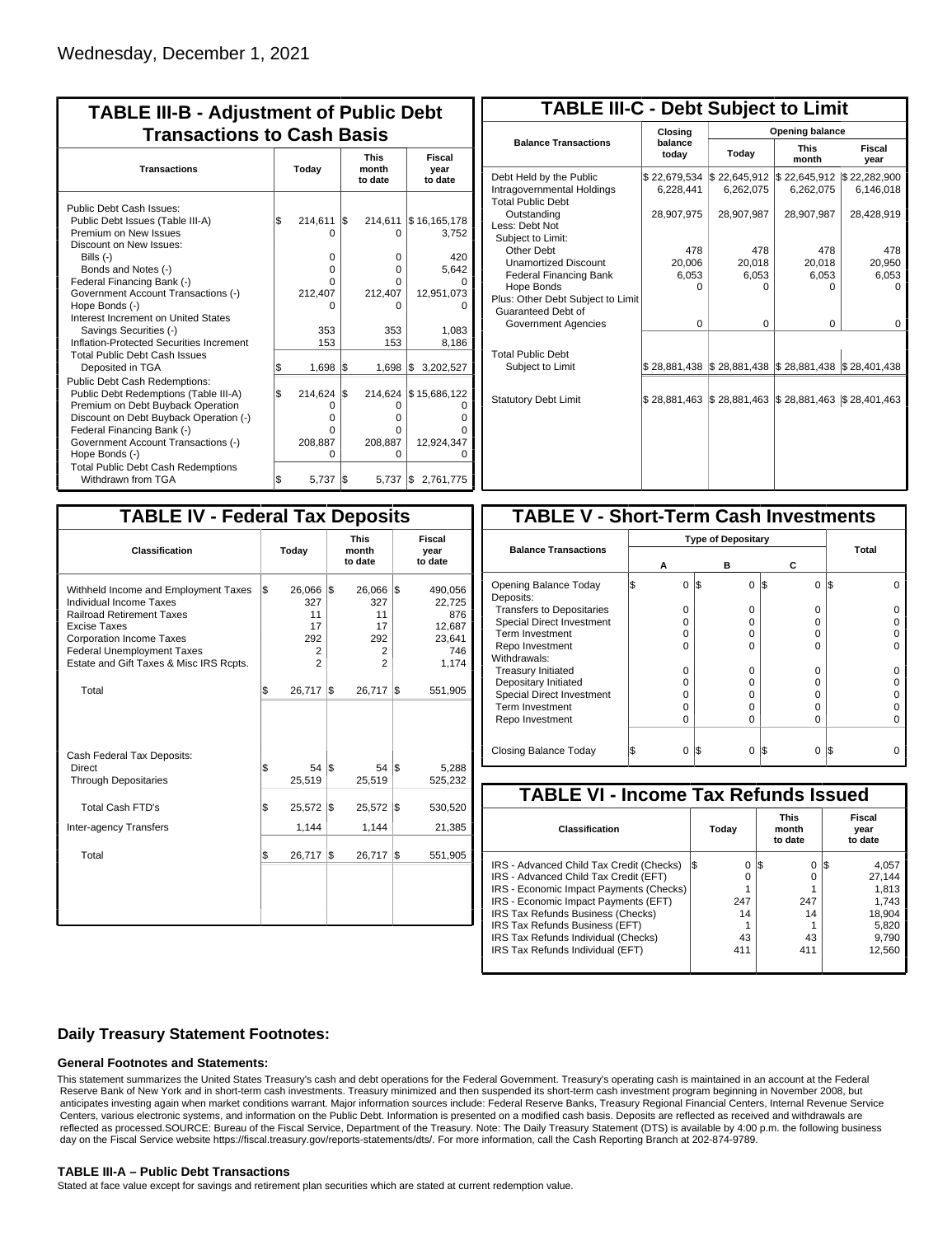| <b>TABLE III-B - Adjustment of Public Debt</b><br><b>Transactions to Cash Basis</b>                                                                                                                                                                                                       |       |                                               |                                 |                                               |                                       |  |  |
|-------------------------------------------------------------------------------------------------------------------------------------------------------------------------------------------------------------------------------------------------------------------------------------------|-------|-----------------------------------------------|---------------------------------|-----------------------------------------------|---------------------------------------|--|--|
| <b>Transactions</b>                                                                                                                                                                                                                                                                       | Today |                                               | <b>This</b><br>month<br>to date |                                               | Fiscal<br>year<br>to date             |  |  |
| Public Debt Cash Issues:<br>Public Debt Issues (Table III-A)<br>Premium on New Issues<br>Discount on New Issues:<br>Bills $(-)$                                                                                                                                                           | \$    | 214,611<br>U<br>0                             | I\$                             | 214,611<br>0<br>$\Omega$                      | \$16,165,178<br>3,752<br>420          |  |  |
| Bonds and Notes (-)<br>Federal Financing Bank (-)<br>Government Account Transactions (-)<br>Hope Bonds (-)<br>Interest Increment on United States<br>Savings Securities (-)<br>Inflation-Protected Securities Increment                                                                   |       | O<br>U<br>212,407<br>n<br>353<br>153          |                                 | 0<br>$\Omega$<br>212,407<br>0<br>353<br>153   | 5,642<br>12,951,073<br>1,083<br>8,186 |  |  |
| <b>Total Public Debt Cash Issues</b><br>Deposited in TGA                                                                                                                                                                                                                                  | Ŝ.    | 1,698                                         | 1\$                             | $1,698$ \$                                    | 3,202,527                             |  |  |
| Public Debt Cash Redemptions:<br>Public Debt Redemptions (Table III-A)<br>Premium on Debt Buyback Operation<br>Discount on Debt Buyback Operation (-)<br>Federal Financing Bank (-)<br>Government Account Transactions (-)<br>Hope Bonds (-)<br><b>Total Public Debt Cash Redemptions</b> | l\$   | 214,624<br>O<br>$\Omega$<br>O<br>208,887<br>O | l\$                             | 214,624<br>0<br>0<br>0<br>208,887<br>$\Omega$ | \$15,686,122<br>12,924,347            |  |  |
| Withdrawn from TGA                                                                                                                                                                                                                                                                        | l\$   | 5,737                                         | l\$                             | 5.737 \$                                      | 2,761,775                             |  |  |

| <b>TABLE III-C - Debt Subject to Limit</b>                                        |                           |                                            |                           |                           |  |  |  |  |  |
|-----------------------------------------------------------------------------------|---------------------------|--------------------------------------------|---------------------------|---------------------------|--|--|--|--|--|
|                                                                                   | Closing                   | <b>Opening balance</b>                     |                           |                           |  |  |  |  |  |
| <b>Balance Transactions</b>                                                       | balance<br>today          | Today                                      | <b>This</b><br>month      | <b>Fiscal</b><br>year     |  |  |  |  |  |
| Debt Held by the Public<br>Intragovernmental Holdings<br><b>Total Public Debt</b> | \$22,679,534<br>6.228.441 | \$22,645,912<br>6,262,075                  | \$22,645,912<br>6,262,075 | \$22,282,900<br>6,146,018 |  |  |  |  |  |
| Outstanding<br>Less: Debt Not<br>Subject to Limit:                                | 28,907,975                | 28,907,987                                 | 28,907,987                | 28,428,919                |  |  |  |  |  |
| Other Debt                                                                        | 478                       | 478                                        | 478                       | 478                       |  |  |  |  |  |
| <b>Unamortized Discount</b>                                                       | 20.006                    | 20.018                                     | 20,018                    | 20,950                    |  |  |  |  |  |
| <b>Federal Financing Bank</b>                                                     | 6,053                     | 6,053                                      | 6,053                     | 6,053                     |  |  |  |  |  |
| Hope Bonds                                                                        | 0                         | O                                          | o                         | O                         |  |  |  |  |  |
| Plus: Other Debt Subject to Limit<br>Guaranteed Debt of                           |                           |                                            |                           |                           |  |  |  |  |  |
| Government Agencies                                                               | $\Omega$                  | $\Omega$                                   | 0                         | 0                         |  |  |  |  |  |
| <b>Total Public Debt</b><br>Subject to Limit                                      |                           | \$28,881,438   \$28,881,438   \$28,881,438 |                           | \$28,401,438              |  |  |  |  |  |
| <b>Statutory Debt Limit</b>                                                       | \$28,881,463              | \$28,881,463                               | \$28,881,463              | \$28,401,463              |  |  |  |  |  |
|                                                                                   |                           |                                            |                           |                           |  |  |  |  |  |

| <b>TABLE IV - Federal Tax Deposits</b>                                                                                                                                                                                                        |     |                                                         |     |                                            |     |                                                              |  |  |
|-----------------------------------------------------------------------------------------------------------------------------------------------------------------------------------------------------------------------------------------------|-----|---------------------------------------------------------|-----|--------------------------------------------|-----|--------------------------------------------------------------|--|--|
| <b>Classification</b>                                                                                                                                                                                                                         |     | Today                                                   |     | <b>This</b><br>month<br>to date            |     | <b>Fiscal</b><br>year<br>to date                             |  |  |
| Withheld Income and Employment Taxes<br>Individual Income Taxes<br><b>Railroad Retirement Taxes</b><br><b>Excise Taxes</b><br><b>Corporation Income Taxes</b><br><b>Federal Unemployment Taxes</b><br>Estate and Gift Taxes & Misc IRS Rcpts. | l\$ | 26,066<br>327<br>11<br>17<br>292<br>2<br>$\overline{2}$ | l\$ | 26,066<br>327<br>11<br>17<br>292<br>2<br>2 | l\$ | 490,056<br>22,725<br>876<br>12,687<br>23,641<br>746<br>1,174 |  |  |
| Total                                                                                                                                                                                                                                         | \$  | 26,717                                                  | 1\$ | 26,717                                     | l\$ | 551,905                                                      |  |  |
| Cash Federal Tax Deposits:<br>Direct<br><b>Through Depositaries</b>                                                                                                                                                                           | \$  | 54 S<br>25,519                                          |     | 54   \$<br>25,519                          |     | 5,288<br>525,232                                             |  |  |
| <b>Total Cash FTD's</b>                                                                                                                                                                                                                       | \$  | 25,572                                                  | l\$ | 25,572                                     | 1\$ | 530,520                                                      |  |  |
| <b>Inter-agency Transfers</b>                                                                                                                                                                                                                 |     | 1,144                                                   |     | 1,144                                      |     | 21,385                                                       |  |  |
| Total                                                                                                                                                                                                                                         | \$  | 26,717                                                  | l\$ | 26,717                                     | l\$ | 551,905                                                      |  |  |
|                                                                                                                                                                                                                                               |     |                                                         |     |                                            |     |                                                              |  |  |

| <b>TABLE V - Short-Term Cash Investments</b> |   |                           |              |       |  |  |  |  |
|----------------------------------------------|---|---------------------------|--------------|-------|--|--|--|--|
|                                              |   | <b>Type of Depositary</b> |              |       |  |  |  |  |
| <b>Balance Transactions</b>                  |   |                           |              | Total |  |  |  |  |
|                                              | А | в                         | С            |       |  |  |  |  |
| Opening Balance Today                        | 0 | 1\$<br>0                  | 0<br>1\$     | I\$   |  |  |  |  |
| Deposits:                                    |   |                           |              |       |  |  |  |  |
| <b>Transfers to Depositaries</b>             | O | 0                         | 0            |       |  |  |  |  |
| <b>Special Direct Investment</b>             | O | 0                         | O            |       |  |  |  |  |
| Term Investment                              | O | 0                         | 0            |       |  |  |  |  |
| Repo Investment                              | U | U                         | U            |       |  |  |  |  |
| Withdrawals:                                 |   |                           |              |       |  |  |  |  |
| <b>Treasury Initiated</b>                    | O | 0                         | 0            |       |  |  |  |  |
| Depositary Initiated                         | Ω | 0                         | <sup>n</sup> |       |  |  |  |  |
| <b>Special Direct Investment</b>             | Ω | 0                         | 0            |       |  |  |  |  |
| <b>Term Investment</b>                       | Ω | $\Omega$                  | O            |       |  |  |  |  |
| Repo Investment                              | 0 | $\Omega$                  | 0            |       |  |  |  |  |
|                                              |   |                           |              |       |  |  |  |  |
| Closing Balance Today                        | 0 | I\$<br>0                  | I\$<br>0     | I\$   |  |  |  |  |

| <b>TABLE VI - Income Tax Refunds Issued</b> |     |       |    |                                 |                           |        |  |  |
|---------------------------------------------|-----|-------|----|---------------------------------|---------------------------|--------|--|--|
| Classification                              |     | Today |    | <b>This</b><br>month<br>to date | Fiscal<br>year<br>to date |        |  |  |
| IRS - Advanced Child Tax Credit (Checks)    | l\$ | 0     | 13 | 0                               | 135                       | 4,057  |  |  |
| IRS - Advanced Child Tax Credit (EFT)       |     | O     |    | 0                               |                           | 27.144 |  |  |
| IRS - Economic Impact Payments (Checks)     |     |       |    |                                 |                           | 1.813  |  |  |
| IRS - Economic Impact Payments (EFT)        |     | 247   |    | 247                             |                           | 1.743  |  |  |
| IRS Tax Refunds Business (Checks)           |     | 14    |    | 14                              |                           | 18.904 |  |  |
| IRS Tax Refunds Business (EFT)              |     |       |    |                                 |                           | 5,820  |  |  |
| IRS Tax Refunds Individual (Checks)         |     | 43    |    | 43                              |                           | 9,790  |  |  |
| IRS Tax Refunds Individual (EFT)            |     | 411   |    | 411                             |                           | 12,560 |  |  |

## **Daily Treasury Statement Footnotes:**

### **General Footnotes and Statements:**

This statement summarizes the United States Treasury's cash and debt operations for the Federal Government. Treasury's operating cash is maintained in an account at the Federal Reserve Bank of New York and in short-term cash investments. Treasury minimized and then suspended its short-term cash investment program beginning in November 2008, but anticipates investing again when market conditions warrant. Major information sources include: Federal Reserve Banks, Treasury Regional Financial Centers, Internal Revenue Service Centers, various electronic systems, and information on the Public Debt. Information is presented on a modified cash basis. Deposits are reflected as received and withdrawals are reflected as processed.SOURCE: Bureau of the Fiscal Service, Department of the Treasury. Note: The Daily Treasury Statement (DTS) is available by 4:00 p.m. the following business day on the Fiscal Service website https://fiscal.treasury.gov/reports-statements/dts/. For more information, call the Cash Reporting Branch at 202-874-9789.

### **TABLE III-A – Public Debt Transactions**

Stated at face value except for savings and retirement plan securities which are stated at current redemption value.